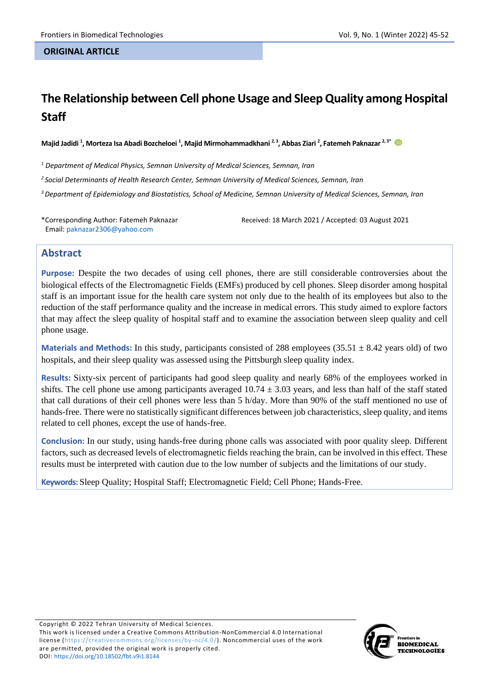#### **ORIGINAL ARTICLE**

# **The Relationship between Cell phone Usage and Sleep Quality among Hospital Staff**

**Majid Jadidi <sup>1</sup> , Morteza Isa Abadi Bozcheloei <sup>1</sup> , Majid Mirmohammadkhani 2, 3, Abbas Ziari <sup>2</sup> , Fatemeh Paknazar 2, 3\***

*<sup>1</sup> Department of Medical Physics, Semnan University of Medical Sciences, Semnan, Iran*

*2 Social Determinants of Health Research Center, Semnan University of Medical Sciences, Semnan, Iran*

*<sup>3</sup>Department of Epidemiology and Biostatistics, School of Medicine, Semnan University of Medical Sciences, Semnan, Iran*

\*Corresponding Author: Fatemeh Paknazar Email: paknazar2306@yahoo.com

Received: 18 March 2021 / Accepted: 03 August 2021

### **Abstract**

**Purpose:** Despite the two decades of using cell phones, there are still considerable controversies about the biological effects of the Electromagnetic Fields (EMFs) produced by cell phones. Sleep disorder among hospital staff is an important issue for the health care system not only due to the health of its employees but also to the reduction of the staff performance quality and the increase in medical errors. This study aimed to explore factors that may affect the sleep quality of hospital staff and to examine the association between sleep quality and cell phone usage.

**Materials and Methods:** In this study, participants consisted of 288 employees  $(35.51 \pm 8.42 \text{ years old})$  of two hospitals, and their sleep quality was assessed using the Pittsburgh sleep quality index.

**Results:** Sixty-six percent of participants had good sleep quality and nearly 68% of the employees worked in shifts. The cell phone use among participants averaged  $10.74 \pm 3.03$  years, and less than half of the staff stated that call durations of their cell phones were less than 5 h/day. More than 90% of the staff mentioned no use of hands-free. There were no statistically significant differences between job characteristics, sleep quality, and items related to cell phones, except the use of hands-free.

**Conclusion:** In our study, using hands-free during phone calls was associated with poor quality sleep. Different factors, such as decreased levels of electromagnetic fields reaching the brain, can be involved in this effect. These results must be interpreted with caution due to the low number of subjects and the limitations of our study.

**Keywords:** Sleep Quality; Hospital Staff; Electromagnetic Field; Cell Phone; Hands-Free.

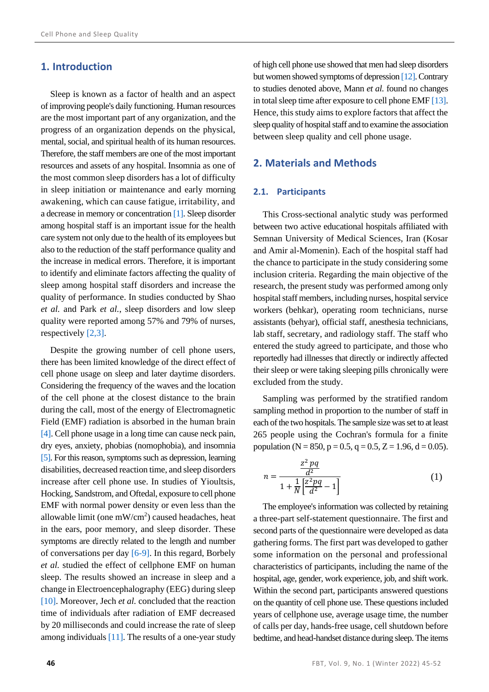## **1. Introduction**

Sleep is known as a factor of health and an aspect of improving people's daily functioning. Human resources are the most important part of any organization, and the progress of an organization depends on the physical, mental, social, and spiritual health of its human resources. Therefore, the staff members are one of the most important resources and assets of any hospital. Insomnia as one of the most common sleep disorders has a lot of difficulty in sleep initiation or maintenance and early morning awakening, which can cause fatigue, irritability, and a decrease in memory or concentration [\[1\].](#page-6-0) Sleep disorder among hospital staff is an important issue for the health care system not only due to the health of its employees but also to the reduction of the staff performance quality and the increase in medical errors. Therefore, it is important to identify and eliminate factors affecting the quality of sleep among hospital staff disorders and increase the quality of performance. In studies conducted by Shao *et al.* and Park *et al.*, sleep disorders and low sleep quality were reported among 57% and 79% of nurses, respectively [\[2,](#page-6-1)[3\].](#page-6-2)

Despite the growing number of cell phone users, there has been limited knowledge of the direct effect of cell phone usage on sleep and later daytime disorders. Considering the frequency of the waves and the location of the cell phone at the closest distance to the brain during the call, most of the energy of Electromagnetic Field (EMF) radiation is absorbed in the human brain [\[4\].](#page-6-3) Cell phone usage in a long time can cause neck pain, dry eyes, anxiety, phobias (nomophobia), and insomnia [\[5\].](#page-6-4) For this reason, symptoms such as depression, learning disabilities, decreased reaction time, and sleep disorders increase after cell phone use. In studies of Yioultsis, Hocking, Sandstrom, and Oftedal, exposure to cell phone EMF with normal power density or even less than the allowable limit (one  $mW/cm<sup>2</sup>$ ) caused headaches, heat in the ears, poor memory, and sleep disorder. These symptoms are directly related to the length and number of conversations per day [\[6-](#page-6-5)[9\].](#page-6-6) In this regard, Borbely *et al.* studied the effect of cellphone EMF on human sleep. The results showed an increase in sleep and a change in Electroencephalography (EEG) during sleep [\[10\].](#page-6-7) Moreover, Jech *et al.* concluded that the reaction time of individuals after radiation of EMF decreased by 20 milliseconds and could increase the rate of sleep among individuals [\[11\].](#page-6-8) The results of a one-year study

of high cell phone use showed that men had sleep disorders but women showed symptoms of depressio[n \[12\].](#page-6-9) Contrary to studies denoted above, Mann *et al.* found no changes in total sleep time after exposure to cell phone EM[F \[13\].](#page-6-10) Hence, this study aims to explore factors that affect the sleep quality of hospital staff and to examine the association between sleep quality and cell phone usage.

## **2. Materials and Methods**

#### **2.1. Participants**

This Cross-sectional analytic study was performed between two active educational hospitals affiliated with Semnan University of Medical Sciences, Iran (Kosar and Amir al-Momenin). Each of the hospital staff had the chance to participate in the study considering some inclusion criteria. Regarding the main objective of the research, the present study was performed among only hospital staff members, including nurses, hospital service workers (behkar), operating room technicians, nurse assistants (behyar), official staff, anesthesia technicians, lab staff, secretary, and radiology staff. The staff who entered the study agreed to participate, and those who reportedly had illnesses that directly or indirectly affected their sleep or were taking sleeping pills chronically were excluded from the study.

Sampling was performed by the stratified random sampling method in proportion to the number of staff in each of the two hospitals. The sample size was set to at least 265 people using the Cochran's formula for a finite population (N = 850, p = 0.5, q = 0.5, Z = 1.96, d = 0.05).

$$
n = \frac{\frac{z^2 pq}{d^2}}{1 + \frac{1}{N} \left[\frac{z^2 pq}{d^2} - 1\right]}
$$
(1)

The employee's information was collected by retaining a three-part self-statement questionnaire. The first and second parts of the questionnaire were developed as data gathering forms. The first part was developed to gather some information on the personal and professional characteristics of participants, including the name of the hospital, age, gender, work experience, job, and shift work. Within the second part, participants answered questions on the quantity of cell phone use. These questionsincluded years of cellphone use, average usage time, the number of calls per day, hands-free usage, cell shutdown before bedtime, and head-handset distance during sleep. The items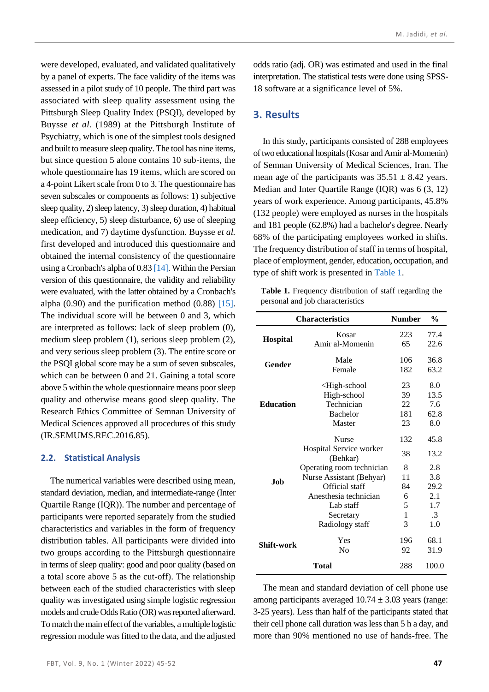were developed, evaluated, and validated qualitatively by a panel of experts. The face validity of the items was assessed in a pilot study of 10 people. The third part was associated with sleep quality assessment using the Pittsburgh Sleep Quality Index (PSQI), developed by Buysse *et al.* (1989) at the Pittsburgh Institute of Psychiatry, which is one of the simplest tools designed and built to measure sleep quality. The tool has nine items, but since question 5 alone contains 10 sub-items, the whole questionnaire has 19 items, which are scored on a 4-point Likert scale from 0 to 3. The questionnaire has seven subscales or components as follows: 1) subjective sleep quality, 2) sleep latency, 3) sleep duration, 4) habitual sleep efficiency, 5) sleep disturbance, 6) use of sleeping medication, and 7) daytime dysfunction. Buysse *et al.* first developed and introduced this questionnaire and obtained the internal consistency of the questionnaire using a Cronbach's alpha of 0.8[3 \[14\].](#page-6-11) Within the Persian version of this questionnaire, the validity and reliability were evaluated, with the latter obtained by a Cronbach's alpha  $(0.90)$  and the purification method  $(0.88)$  [\[15\].](#page-6-12) The individual score will be between 0 and 3, which are interpreted as follows: lack of sleep problem (0), medium sleep problem (1), serious sleep problem (2), and very serious sleep problem (3). The entire score or the PSQI global score may be a sum of seven subscales, which can be between 0 and 21. Gaining a total score above 5 within the whole questionnaire means poor sleep quality and otherwise means good sleep quality. The Research Ethics Committee of Semnan University of Medical Sciences approved all procedures of this study (IR.SEMUMS.REC.2016.85).

#### **2.2. Statistical Analysis**

The numerical variables were described using mean, standard deviation, median, and intermediate-range (Inter Quartile Range (IQR)). The number and percentage of participants were reported separately from the studied characteristics and variables in the form of frequency distribution tables. All participants were divided into two groups according to the Pittsburgh questionnaire in terms of sleep quality: good and poor quality (based on a total score above 5 as the cut-off). The relationship between each of the studied characteristics with sleep quality was investigated using simple logistic regression models and crude Odds Ratio (OR) was reported afterward. To match the main effect of the variables, a multiple logistic regression module was fitted to the data, and the adjusted odds ratio (adj. OR) was estimated and used in the final interpretation. The statistical tests were done using SPSS-18 software at a significance level of 5%.

## **3. Results**

In this study, participants consisted of 288 employees of two educational hospitals (Kosar and Amir al-Momenin) of Semnan University of Medical Sciences, Iran. The mean age of the participants was  $35.51 \pm 8.42$  years. Median and Inter Quartile Range (IQR) was 6 (3, 12) years of work experience. Among participants, 45.8% (132 people) were employed as nurses in the hospitals and 181 people (62.8%) had a bachelor's degree. Nearly 68% of the participating employees worked in shifts. The frequency distribution of staff in terms of hospital, place of employment, gender, education, occupation, and type of shift work is presented in [Table 1.](#page-2-0)

<span id="page-2-0"></span>**Table 1.** Frequency distribution of staff regarding the personal and job characteristics

| <b>Characteristics</b> | <b>Number</b>                                              | $\frac{0}{0}$ |       |
|------------------------|------------------------------------------------------------|---------------|-------|
|                        | Kosar                                                      | 223           | 77.4  |
| <b>Hospital</b>        | Amir al-Momenin                                            | 65            | 22.6  |
|                        | Male                                                       | 106           | 36.8  |
| Gender                 | Female                                                     | 182           | 63.2  |
|                        | <high-school< th=""><th>23</th><th>8.0</th></high-school<> | 23            | 8.0   |
| <b>Education</b>       | High-school                                                | 39            | 13.5  |
|                        | Technician                                                 | 22            | 7.6   |
|                        | <b>Bachelor</b>                                            | 181           | 62.8  |
|                        | Master                                                     | 23            | 8.0   |
|                        | <b>Nurse</b>                                               | 132           | 45.8  |
|                        | Hospital Service worker<br>(Behkar)                        | 38            | 13.2  |
|                        | Operating room technician                                  | 8             | 2.8   |
|                        | Nurse Assistant (Behyar)                                   | 11            | 3.8   |
| Job                    | Official staff                                             | 84            | 29.2  |
|                        | Anesthesia technician                                      | 6             | 2.1   |
|                        | Lab staff                                                  | 5             | 1.7   |
|                        | Secretary                                                  | 1             | .3    |
|                        | Radiology staff                                            | 3             | 1.0   |
| Shift-work             | Yes                                                        | 196           | 68.1  |
|                        | No                                                         | 92            | 31.9  |
|                        | <b>Total</b>                                               | 288           | 100.0 |

The mean and standard deviation of cell phone use among participants averaged  $10.74 \pm 3.03$  years (range: 3-25 years). Less than half of the participants stated that their cell phone call duration was less than 5 h a day, and more than 90% mentioned no use of hands-free. The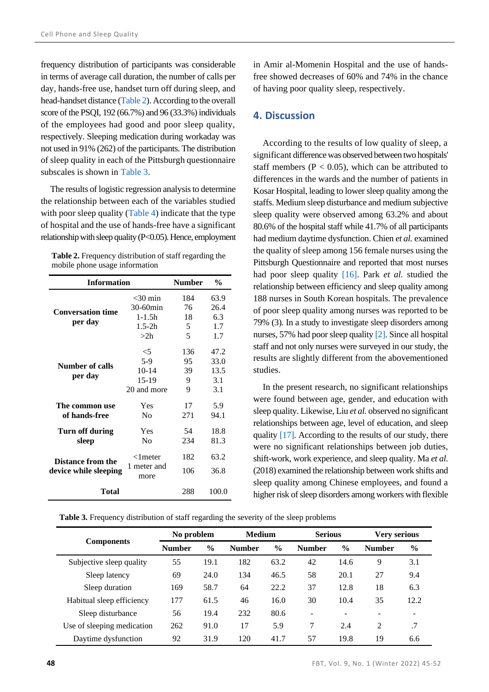frequency distribution of participants was considerable in terms of average call duration, the number of calls per day, hands-free use, handset turn off during sleep, and head-handset distance [\(Table 2\)](#page-3-0). According to the overall score of the PSQI, 192 (66.7%) and 96 (33.3%) individuals of the employees had good and poor sleep quality, respectively. Sleeping medication during workaday was not used in 91% (262) of the participants. The distribution of sleep quality in each of the Pittsburgh questionnaire subscales is shown in [Table 3.](#page-3-1)

The results of logistic regression analysis to determine the relationship between each of the variables studied with poor sleep quality [\(Table 4\)](#page-4-0) indicate that the type of hospital and the use of hands-free have a significant relationship with sleep quality (P<0.05). Hence, employment

<span id="page-3-0"></span>

| Table 2. Frequency distribution of staff regarding the |
|--------------------------------------------------------|
| mobile phone usage information                         |

| <b>Information</b>                                | <b>Number</b>       | $\frac{0}{0}$ |      |  |
|---------------------------------------------------|---------------------|---------------|------|--|
|                                                   | $<$ 30 min          | 184           | 63.9 |  |
|                                                   | 30-60min            | 76            | 26.4 |  |
| <b>Conversation time</b>                          | $1 - 1.5h$          | 18            | 6.3  |  |
| per day                                           | $1.5 - 2h$          | 5             | 1.7  |  |
|                                                   | >2h                 | 5             | 1.7  |  |
|                                                   | $<$ 5               | 136           | 47.2 |  |
|                                                   | $5-9$               | 95            | 33.0 |  |
| Number of calls                                   | $10-14$             | 39            | 13.5 |  |
| per day                                           | 15-19               | 9             | 3.1  |  |
|                                                   | 20 and more         | 9             | 3.1  |  |
| The common use                                    | Yes                 | 17            | 5.9  |  |
| of hands-free                                     | Nο                  | 271           | 94.1 |  |
| Turn off during                                   | Yes                 | 54            | 18.8 |  |
| sleep                                             | No                  | 234           | 81.3 |  |
|                                                   | $<$ 1 meter         | 182           | 63.2 |  |
| <b>Distance from the</b><br>device while sleeping | 1 meter and<br>more | 106           | 36.8 |  |
| Total                                             | 288                 | 100.0         |      |  |

in Amir al-Momenin Hospital and the use of handsfree showed decreases of 60% and 74% in the chance of having poor quality sleep, respectively.

## **4. Discussion**

According to the results of low quality of sleep, a significant difference was observed between two hospitals' staff members ( $P < 0.05$ ), which can be attributed to differences in the wards and the number of patients in Kosar Hospital, leading to lower sleep quality among the staffs. Medium sleep disturbance and medium subjective sleep quality were observed among 63.2% and about 80.6% of the hospital staff while 41.7% of all participants had medium daytime dysfunction. Chien *et al.* examined the quality of sleep among 156 female nurses using the Pittsburgh Questionnaire and reported that most nurses had poor sleep quality [\[16\].](#page-6-13) Park *et al.* studied the relationship between efficiency and sleep quality among 188 nurses in South Korean hospitals. The prevalence of poor sleep quality among nurses was reported to be 79% (3). In a study to investigate sleep disorders among nurses, 57% had poor sleep quality [\[2\].](#page-6-1) Since all hospital staff and not only nurses were surveyed in our study, the results are slightly different from the abovementioned studies.

In the present research, no significant relationships were found between age, gender, and education with sleep quality. Likewise, Liu *et al.* observed no significant relationships between age, level of education, and sleep quality [\[17\].](#page-6-14) According to the results of our study, there were no significant relationships between job duties, shift-work, work experience, and sleep quality. Ma *et al.* (2018) examined the relationship between work shifts and sleep quality among Chinese employees, and found a higher risk of sleep disorders among workers with flexible

<span id="page-3-1"></span>**Table 3.** Frequency distribution of staff regarding the severity of the sleep problems

|                            | No problem    |               | <b>Medium</b> |               | <b>Serious</b> |               | <b>Very serious</b> |                          |
|----------------------------|---------------|---------------|---------------|---------------|----------------|---------------|---------------------|--------------------------|
| <b>Components</b>          | <b>Number</b> | $\frac{6}{9}$ | <b>Number</b> | $\frac{0}{0}$ | <b>Number</b>  | $\frac{0}{0}$ | <b>Number</b>       | $\frac{6}{9}$            |
| Subjective sleep quality   | 55            | 19.1          | 182           | 63.2          | 42             | 14.6          | 9                   | 3.1                      |
| Sleep latency              | 69            | 24.0          | 134           | 46.5          | 58             | 20.1          | 27                  | 9.4                      |
| Sleep duration             | 169           | 58.7          | 64            | 22.2          | 37             | 12.8          | 18                  | 6.3                      |
| Habitual sleep efficiency  | 177           | 61.5          | 46            | 16.0          | 30             | 10.4          | 35                  | 12.2                     |
| Sleep disturbance          | 56            | 19.4          | 232           | 80.6          | ۰              |               |                     | $\overline{\phantom{0}}$ |
| Use of sleeping medication | 262           | 91.0          | 17            | 5.9           | 7              | 2.4           | 2                   | .7                       |
| Daytime dysfunction        | 92            | 31.9          | 120           | 41.7          | 57             | 19.8          | 19                  | 6.6                      |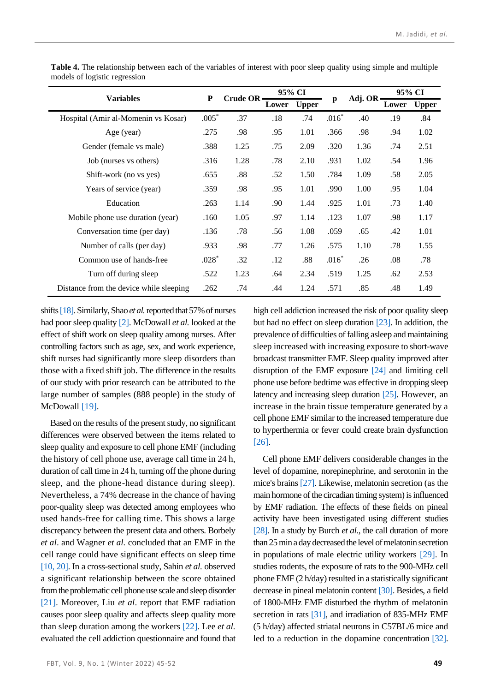| <b>Variables</b>                        |         | Crude OR- | 95% CI |              |              | Adj. OR- | 95% CI |              |
|-----------------------------------------|---------|-----------|--------|--------------|--------------|----------|--------|--------------|
|                                         |         |           | Lower  | <b>Upper</b> | $\mathbf{p}$ |          | Lower  | <b>Upper</b> |
| Hospital (Amir al-Momenin vs Kosar)     |         | .37       | .18    | .74          | $.016*$      | .40      | .19    | .84          |
| Age (year)                              |         | .98       | .95    | 1.01         | .366         | .98      | .94    | 1.02         |
| Gender (female vs male)                 |         | 1.25      | .75    | 2.09         | .320         | 1.36     | .74    | 2.51         |
| Job (nurses vs others)                  | .316    | 1.28      | .78    | 2.10         | .931         | 1.02     | .54    | 1.96         |
| Shift-work (no vs yes)                  | .655    | .88       | .52    | 1.50         | .784         | 1.09     | .58    | 2.05         |
| Years of service (year)                 | .359    | .98       | .95    | 1.01         | .990         | 1.00     | .95    | 1.04         |
| Education                               | .263    | 1.14      | .90    | 1.44         | .925         | 1.01     | .73    | 1.40         |
| Mobile phone use duration (year)        | .160    | 1.05      | .97    | 1.14         | .123         | 1.07     | .98    | 1.17         |
| Conversation time (per day)             | .136    | .78       | .56    | 1.08         | .059         | .65      | .42    | 1.01         |
| Number of calls (per day)               | .933    | .98       | .77    | 1.26         | .575         | 1.10     | .78    | 1.55         |
| Common use of hands-free                | $.028*$ | .32       | .12    | .88          | $.016*$      | .26      | .08    | .78          |
| Turn off during sleep                   |         | 1.23      | .64    | 2.34         | .519         | 1.25     | .62    | 2.53         |
| Distance from the device while sleeping |         | .74       | .44    | 1.24         | .571         | .85      | .48    | 1.49         |

<span id="page-4-0"></span>**Table 4.** The relationship between each of the variables of interest with poor sleep quality using simple and multiple models of logistic regression

shift[s \[18\].](#page-6-15) Similarly, Shao *et al.*reported that 57% of nurses had poor sleep quality [\[2\].](#page-6-1) McDowall *et al.* looked at the effect of shift work on sleep quality among nurses. After controlling factors such as age, sex, and work experience, shift nurses had significantly more sleep disorders than those with a fixed shift job. The difference in the results of our study with prior research can be attributed to the large number of samples (888 people) in the study of McDowall [\[19\].](#page-6-16)

Based on the results of the present study, no significant differences were observed between the items related to sleep quality and exposure to cell phone EMF (including the history of cell phone use, average call time in 24 h, duration of call time in 24 h, turning off the phone during sleep, and the phone-head distance during sleep). Nevertheless, a 74% decrease in the chance of having poor-quality sleep was detected among employees who used hands-free for calling time. This shows a large discrepancy between the present data and others. Borbely *et al*. and Wagner *et al.* concluded that an EMF in the cell range could have significant effects on sleep time [\[10,](#page-6-7) [20\].](#page-6-17) In a cross-sectional study, Sahin *et al.* observed a significant relationship between the score obtained from the problematic cell phone use scale and sleep disorder [\[21\].](#page-6-18) Moreover, Liu *et al*. report that EMF radiation causes poor sleep quality and affects sleep quality more than sleep duration among the workers [\[22\].](#page-6-19) Lee *et al.* evaluated the cell addiction questionnaire and found that high cell addiction increased the risk of poor quality sleep but had no effect on sleep duration [\[23\].](#page-6-20) In addition, the prevalence of difficulties of falling asleep and maintaining sleep increased with increasing exposure to short-wave broadcast transmitter EMF. Sleep quality improved after disruption of the EMF exposure [\[24\]](#page-6-21) and limiting cell phone use before bedtime was effective in dropping sleep latency and increasing sleep duration [\[25\].](#page-6-22) However, an increase in the brain tissue temperature generated by a cell phone EMF similar to the increased temperature due to hyperthermia or fever could create brain dysfunction [\[26\].](#page-7-0)

Cell phone EMF delivers considerable changes in the level of dopamine, norepinephrine, and serotonin in the mice's brain[s \[27\].](#page-7-1) Likewise, melatonin secretion (as the main hormone of the circadian timing system) is influenced by EMF radiation. The effects of these fields on pineal activity have been investigated using different studies [\[28\].](#page-7-2) In a study by Burch *et al.*, the call duration of more than 25 min a day decreased the level of melatonin secretion in populations of male electric utility workers [\[29\].](#page-7-3) In studies rodents, the exposure of rats to the 900-MHz cell phone EMF (2 h/day) resulted in a statistically significant decrease in pineal melatonin content [\[30\].](#page-7-4) Besides, a field of 1800-MHz EMF disturbed the rhythm of melatonin secretion in rats [\[31\],](#page-7-5) and irradiation of 835-MHz EMF (5 h/day) affected striatal neurons in C57BL/6 mice and led to a reduction in the dopamine concentration [\[32\].](#page-7-6)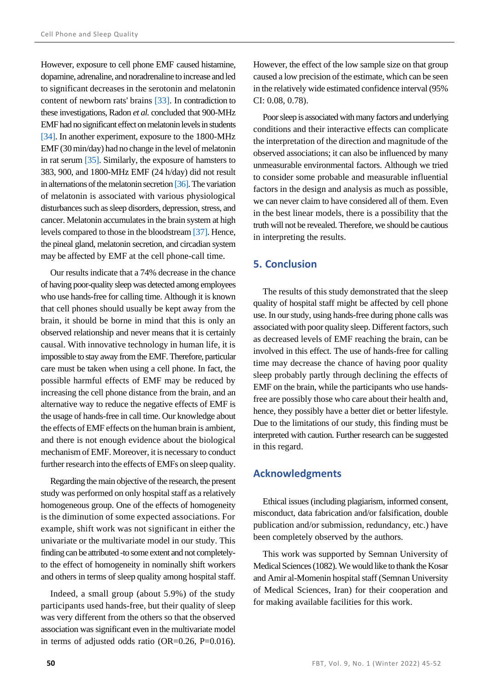However, exposure to cell phone EMF caused histamine, dopamine, adrenaline, and noradrenaline to increase and led to significant decreases in the serotonin and melatonin content of newborn rats' brains [\[33\].](#page-7-7) In contradiction to these investigations, Radon *et al.* concluded that 900-MHz EMF had no significant effect on melatonin levels in students [\[34\].](#page-7-8) In another experiment, exposure to the 1800-MHz EMF (30 min/day) had no change in the level of melatonin in rat serum [\[35\].](#page-7-9) Similarly, the exposure of hamsters to 383, 900, and 1800-MHz EMF (24 h/day) did not result in alternations of the melatonin secretio[n \[36\].](#page-7-10) The variation of melatonin is associated with various physiological disturbances such as sleep disorders, depression, stress, and cancer. Melatonin accumulates in the brain system at high levels compared to those in the bloodstream [\[37\].](#page-7-11) Hence, the pineal gland, melatonin secretion, and circadian system may be affected by EMF at the cell phone-call time.

Our results indicate that a 74% decrease in the chance of having poor-quality sleep was detected among employees who use hands-free for calling time. Although it is known that cell phones should usually be kept away from the brain, it should be borne in mind that this is only an observed relationship and never means that it is certainly causal. With innovative technology in human life, it is impossible to stay away from the EMF. Therefore, particular care must be taken when using a cell phone. In fact, the possible harmful effects of EMF may be reduced by increasing the cell phone distance from the brain, and an alternative way to reduce the negative effects of EMF is the usage of hands-free in call time. Our knowledge about the effects of EMF effects on the human brain is ambient, and there is not enough evidence about the biological mechanism of EMF. Moreover, it is necessary to conduct further research into the effects of EMFs on sleep quality.

Regarding the main objective of the research, the present study was performed on only hospital staff as a relatively homogeneous group. One of the effects of homogeneity is the diminution of some expected associations. For example, shift work was not significant in either the univariate or the multivariate model in our study. This finding can be attributed -to some extent and not completelyto the effect of homogeneity in nominally shift workers and others in terms of sleep quality among hospital staff.

Indeed, a small group (about 5.9%) of the study participants used hands-free, but their quality of sleep was very different from the others so that the observed association was significant even in the multivariate model in terms of adjusted odds ratio (OR=0.26, P=0.016).

However, the effect of the low sample size on that group caused a low precision of the estimate, which can be seen in the relatively wide estimated confidence interval (95% CI: 0.08, 0.78).

Poor sleep is associated with many factors and underlying conditions and their interactive effects can complicate the interpretation of the direction and magnitude of the observed associations; it can also be influenced by many unmeasurable environmental factors. Although we tried to consider some probable and measurable influential factors in the design and analysis as much as possible, we can never claim to have considered all of them. Even in the best linear models, there is a possibility that the truth will not be revealed. Therefore, we should be cautious in interpreting the results.

## **5. Conclusion**

The results of this study demonstrated that the sleep quality of hospital staff might be affected by cell phone use. In our study, using hands-free during phone calls was associated with poor quality sleep. Different factors, such as decreased levels of EMF reaching the brain, can be involved in this effect. The use of hands-free for calling time may decrease the chance of having poor quality sleep probably partly through declining the effects of EMF on the brain, while the participants who use handsfree are possibly those who care about their health and, hence, they possibly have a better diet or better lifestyle. Due to the limitations of our study, this finding must be interpreted with caution. Further research can be suggested in this regard.

## **Acknowledgments**

Ethical issues (including plagiarism, informed consent, misconduct, data fabrication and/or falsification, double publication and/or submission, redundancy, etc.) have been completely observed by the authors.

This work was supported by Semnan University of Medical Sciences (1082). We would like to thank the Kosar and Amir al-Momenin hospital staff (Semnan University of Medical Sciences, Iran) for their cooperation and for making available facilities for this work.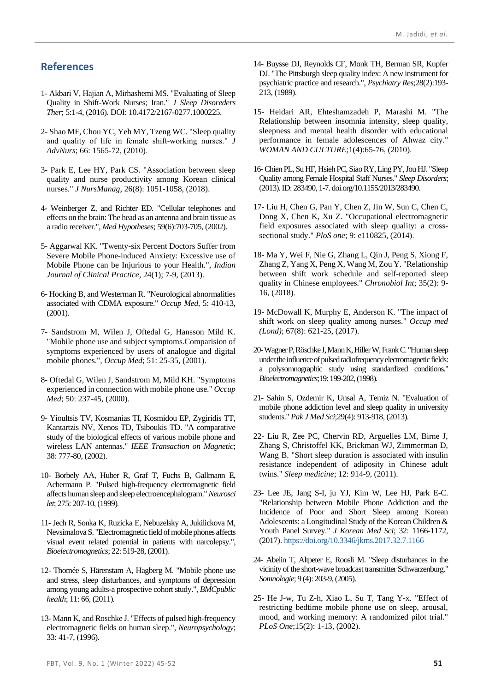# **References**

- <span id="page-6-0"></span>1- Akbari V, Hajian A, Mirhashemi MS. "Evaluating of Sleep Quality in Shift-Work Nurses; Iran." *J Sleep Disoreders Ther*; 5:1-4, (2016). DOI: 10.4172/2167-0277.1000225.
- <span id="page-6-1"></span>2- Shao MF, Chou YC, Yeh MY, Tzeng WC. "Sleep quality and quality of life in female shift-working nurses." *J AdvNurs*; 66: 1565-72, (2010).
- <span id="page-6-2"></span>3- Park E, Lee HY, Park CS. "Association between sleep quality and nurse productivity among Korean clinical nurses." *J NursManag*, 26(8): 1051-1058, (2018).
- <span id="page-6-3"></span>4- Weinberger Z, and Richter ED. "Cellular telephones and effects on the brain: The head as an antenna and brain tissue as a radio receiver.", *Med Hypotheses*; 59(6):703-705, (2002).
- <span id="page-6-4"></span>5- Aggarwal KK. "Twenty-six Percent Doctors Suffer from Severe Mobile Phone-induced Anxiety: Excessive use of Mobile Phone can be Injurious to your Health.", *Indian Journal of Clinical Practice,* 24(1); 7-9, (2013).
- <span id="page-6-5"></span>6- Hocking B, and Westerman R. "Neurological abnormalities associated with CDMA exposure." *Occup Med*, 5: 410-13, (2001).
- 7- Sandstrom M, Wilen J, Oftedal G, Hansson Mild K. "Mobile phone use and subject symptoms.Comparision of symptoms experienced by users of analogue and digital mobile phones.", *Occup Med*; 51: 25-35, (2001) .
- 8- Oftedal G, Wilen J, Sandstrom M, Mild KH. "Symptoms experienced in connection with mobile phone use." *Occup Med*; 50: 237-45, (2000).
- <span id="page-6-6"></span>9- Yioultsis TV, Kosmanias TI, Kosmidou EP, Zygiridis TT, Kantartzis NV, Xenos TD, Tsiboukis TD. "A comparative study of the biological effects of various mobile phone and wireless LAN antennas." *IEEE Transaction on Magnetic*; 38: 777-80, (2002).
- <span id="page-6-7"></span>10- Borbely AA, Huber R, Graf T, Fuchs B, Gallmann E, Achermann P. "Pulsed high-frequency electromagnetic field affects human sleep and sleep electroencephalogram."*Neurosci*  let; 275: 207-10, (1999).
- <span id="page-6-8"></span>11- Jech R, Sonka K, Ruzicka E, Nebuzelsky A, Jukilickova M, Nevsimalova S. "Electromagnetic field of mobile phones affects visual event related potential in patients with narcolepsy.", *Bioelectromagnetics*; 22: 519-28, (2001) .
- <span id="page-6-9"></span>12- Thomée S, Härenstam A, Hagberg M. "Mobile phone use and stress, sleep disturbances, and symptoms of depression among young adults-a prospective cohort study.", *BMCpublic health*; 11: 66, (2011).
- <span id="page-6-10"></span>13- Mann K, and Roschke J. "Effects of pulsed high-frequency electromagnetic fields on human sleep.", *Neuropsychology*; 33: 41-7, (1996).
- <span id="page-6-11"></span>14- Buysse DJ, Reynolds CF, Monk TH, Berman SR, Kupfer DJ. "The Pittsburgh sleep quality index: A new instrument for psychiatric practice and research.", *Psychiatry Res*;28(2):193- 213, (1989).
- <span id="page-6-12"></span>15- Heidari AR, Ehteshamzadeh P, Marashi M. "The Relationship between insomnia intensity, sleep quality, sleepness and mental health disorder with educational performance in female adolescences of Ahwaz city." *WOMAN AND CULTURE*;1(4):65-76, (2010).
- <span id="page-6-13"></span>16-Chien PL, Su HF, Hsieh PC, Siao RY, Ling PY, Jou HJ. "Sleep Quality among Female Hospital Staff Nurses." *Sleep Disorders*; (2013).ID: 283490, 1-7. doi.org/10.1155/2013/283490.
- <span id="page-6-14"></span>17- Liu H, Chen G, Pan Y, Chen Z, Jin W, Sun C, Chen C, Dong X, Chen K, Xu Z. "Occupational electromagnetic field exposures associated with sleep quality: a crosssectional study." *PloS one*; 9: e110825, (2014) .
- <span id="page-6-15"></span>18- Ma Y, Wei F, Nie G, Zhang L, Qin J, Peng S, Xiong F, Zhang Z, Yang X, Peng X, Wang M, Zou Y. "Relationship between shift work schedule and self-reported sleep quality in Chinese employees." *Chronobiol Int*; 35(2): 9- 16, (2018) .
- <span id="page-6-16"></span>19- McDowall K, Murphy E, Anderson K. "The impact of shift work on sleep quality among nurses." *Occup med (Lond)*; 67(8): 621-25, (2017).
- <span id="page-6-17"></span>20-Wagner P, Röschke J, Mann K, Hiller W, Frank C. "Human sleep under the influence of pulsed radiofrequency electromagnetic fields: a polysomnographic study using standardized conditions." *Bioelectromagnetics*;19: 199-202, (1998).
- <span id="page-6-18"></span>21- Sahin S, Ozdemir K, Unsal A, Temiz N. "Evaluation of mobile phone addiction level and sleep quality in university students." *Pak J Med Sci*;29(4): 913-918, (2013).
- <span id="page-6-19"></span>22- Liu R, Zee PC, Chervin RD, Arguelles LM, Birne J, Zhang S, Christoffel KK, Brickman WJ, Zimmerman D, Wang B. "Short sleep duration is associated with insulin resistance independent of adiposity in Chinese adult twins." *Sleep medicine*; 12: 914-9, (2011).
- <span id="page-6-20"></span>23- Lee JE, Jang S-I, ju YJ, Kim W, Lee HJ, Park E-C. "Relationship between Mobile Phone Addiction and the Incidence of Poor and Short Sleep among Korean Adolescents: a Longitudinal Study of the Korean Children & Youth Panel Survey." *J Korean Med Sci*; 32: 1166-1172, (2017)[. https://doi.org/10.3346/jkms.2017.32.7.1166](https://doi.org/10.3346/jkms.2017.32.7.1166)
- <span id="page-6-21"></span>24- Abelin T, Altpeter E, Roosli M. "Sleep disturbances in the vicinity of the short-wave broadcast transmitter Schwarzenburg." *Somnologie*; 9 (4): 203-9, (2005).
- <span id="page-6-22"></span>25- He J-w, Tu Z-h, Xiao L, Su T, Tang Y-x. "Effect of restricting bedtime mobile phone use on sleep, arousal, mood, and working memory: A randomized pilot trial." *PLoS One*;15(2): 1-13, (2002).